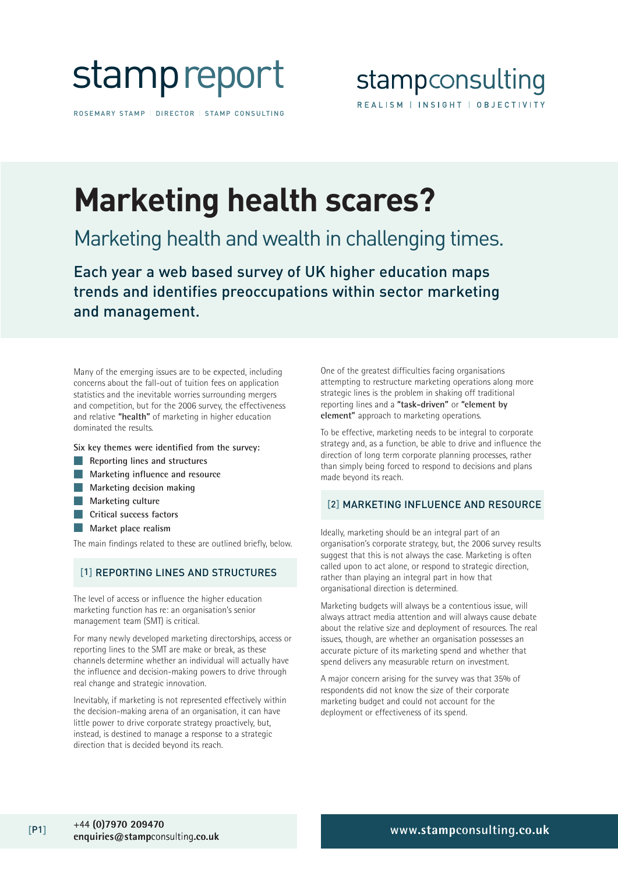

ROSEMARY STAMP | DIRECTOR | STAMP CONSULTING

## **Marketing health scares?**

### Marketing health and wealth in challenging times.

Each year a web based survey of UK higher education maps trends and identifies preoccupations within sector marketing and management.

Many of the emerging issues are to be expected, including concerns about the fall-out of tuition fees on application statistics and the inevitable worries surrounding mergers and competition, but for the 2006 survey, the effectiveness and relative **"health"** of marketing in higher education dominated the results.

**Six key themes were identified from the survey:**

- **Reporting lines and structures**
- **Marketing influence and resource**
- **Marketing decision making**
- **Marketing culture**
- **Critical success factors**
- **Market place realism**

The main findings related to these are outlined briefly, below.

#### [1] REPORTING LINES AND STRUCTURES

The level of access or influence the higher education marketing function has re: an organisation's senior management team (SMT) is critical.

For many newly developed marketing directorships, access or reporting lines to the SMT are make or break, as these channels determine whether an individual will actually have the influence and decision-making powers to drive through real change and strategic innovation.

Inevitably, if marketing is not represented effectively within the decision-making arena of an organisation, it can have little power to drive corporate strategy proactively, but, instead, is destined to manage a response to a strategic direction that is decided beyond its reach.

One of the greatest difficulties facing organisations attempting to restructure marketing operations along more strategic lines is the problem in shaking off traditional reporting lines and a **"task-driven"** or **"element by element"** approach to marketing operations.

To be effective, marketing needs to be integral to corporate strategy and, as a function, be able to drive and influence the direction of long term corporate planning processes, rather than simply being forced to respond to decisions and plans made beyond its reach.

#### [2] MARKETING INFLUENCE AND RESOURCE

Ideally, marketing should be an integral part of an organisation's corporate strategy, but, the 2006 survey results suggest that this is not always the case. Marketing is often called upon to act alone, or respond to strategic direction, rather than playing an integral part in how that organisational direction is determined.

Marketing budgets will always be a contentious issue, will always attract media attention and will always cause debate about the relative size and deployment of resources. The real issues, though, are whether an organisation possesses an accurate picture of its marketing spend and whether that spend delivers any measurable return on investment.

A major concern arising for the survey was that 35% of respondents did not know the size of their corporate marketing budget and could not account for the deployment or effectiveness of its spend.